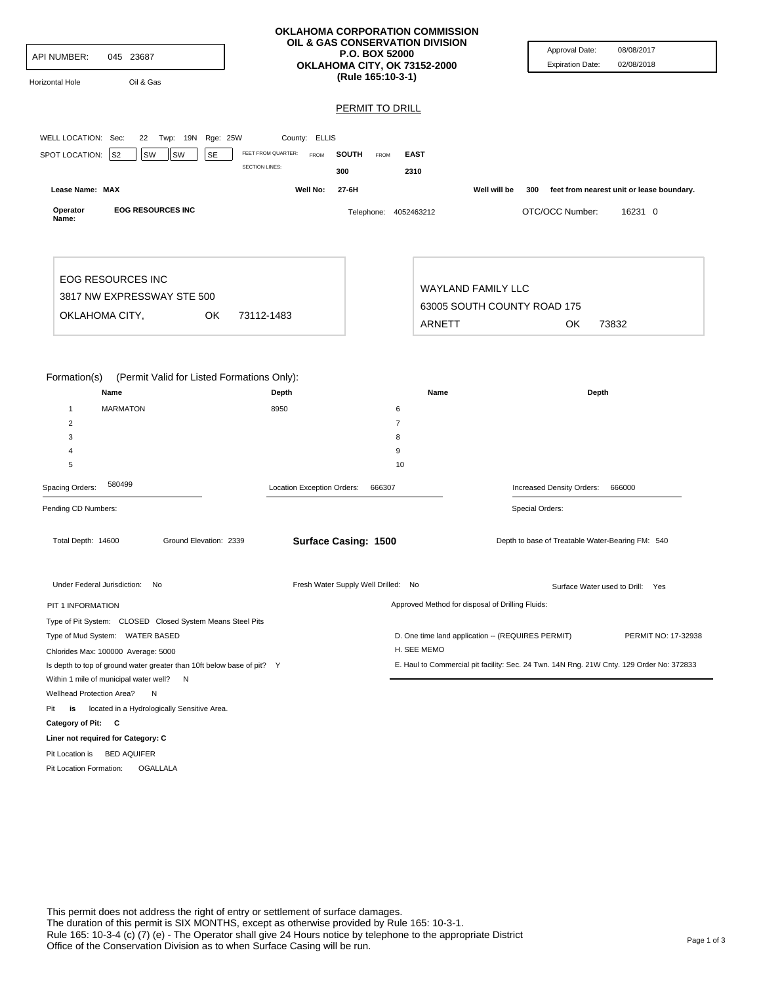| <b>API NUMBER:</b>                                                                                                                                                                                            | 045 23687                                   |                                                                                           | <b>P.O. BOX 52000</b><br>(Rule 165:10-3-1)                  | OKLAHOMA CORPORATION COMMISSION<br>OIL & GAS CONSERVATION DIVISION<br>OKLAHOMA CITY, OK 73152-2000 |                           | Approval Date:<br><b>Expiration Date:</b>                                                                       | 08/08/2017<br>02/08/2018                  |  |
|---------------------------------------------------------------------------------------------------------------------------------------------------------------------------------------------------------------|---------------------------------------------|-------------------------------------------------------------------------------------------|-------------------------------------------------------------|----------------------------------------------------------------------------------------------------|---------------------------|-----------------------------------------------------------------------------------------------------------------|-------------------------------------------|--|
| Horizontal Hole                                                                                                                                                                                               | Oil & Gas                                   |                                                                                           | <b>PERMIT TO DRILL</b>                                      |                                                                                                    |                           |                                                                                                                 |                                           |  |
|                                                                                                                                                                                                               |                                             |                                                                                           |                                                             |                                                                                                    |                           |                                                                                                                 |                                           |  |
| WELL LOCATION: Sec:                                                                                                                                                                                           | 22 Twp: 19N Rge: 25W                        | County: ELLIS                                                                             |                                                             |                                                                                                    |                           |                                                                                                                 |                                           |  |
| SPOT LOCATION:                                                                                                                                                                                                | S <sub>2</sub><br>SW<br>SW                  | FEET FROM QUARTER:<br><b>SE</b><br>FROM<br><b>SECTION LINES:</b>                          | <b>SOUTH</b><br>FROM<br>300                                 | <b>EAST</b><br>2310                                                                                |                           |                                                                                                                 |                                           |  |
| Lease Name: MAX                                                                                                                                                                                               |                                             | Well No:                                                                                  | 27-6H                                                       |                                                                                                    | Well will be<br>300       |                                                                                                                 | feet from nearest unit or lease boundary. |  |
| Operator<br>Name:                                                                                                                                                                                             | <b>EOG RESOURCES INC</b>                    |                                                                                           |                                                             | Telephone: 4052463212                                                                              |                           | OTC/OCC Number:                                                                                                 | 16231 0                                   |  |
|                                                                                                                                                                                                               | <b>EOG RESOURCES INC</b>                    |                                                                                           |                                                             |                                                                                                    | <b>WAYLAND FAMILY LLC</b> |                                                                                                                 |                                           |  |
|                                                                                                                                                                                                               | 3817 NW EXPRESSWAY STE 500                  |                                                                                           |                                                             |                                                                                                    |                           | 63005 SOUTH COUNTY ROAD 175                                                                                     |                                           |  |
| OKLAHOMA CITY,                                                                                                                                                                                                |                                             | 73112-1483<br>OK                                                                          |                                                             | <b>ARNETT</b>                                                                                      |                           | OK                                                                                                              | 73832                                     |  |
| Formation(s)<br>$\mathbf{1}$<br>$\overline{2}$<br>3<br>4<br>5<br>Spacing Orders:                                                                                                                              | Name<br><b>MARMATON</b><br>580499           | (Permit Valid for Listed Formations Only):<br>Depth<br>8950<br>Location Exception Orders: | 666307                                                      | Name<br>6<br>$\overline{7}$<br>8<br>9<br>10                                                        |                           | Depth<br>Increased Density Orders:                                                                              | 666000                                    |  |
| Pending CD Numbers:                                                                                                                                                                                           |                                             |                                                                                           |                                                             |                                                                                                    |                           | Special Orders:                                                                                                 |                                           |  |
| Total Depth: 14600                                                                                                                                                                                            | Under Federal Jurisdiction: No              | Ground Elevation: 2339                                                                    | Surface Casing: 1500<br>Fresh Water Supply Well Drilled: No |                                                                                                    |                           | Depth to base of Treatable Water-Bearing FM: 540<br>Surface Water used to Drill: Yes                            |                                           |  |
|                                                                                                                                                                                                               |                                             |                                                                                           |                                                             | Approved Method for disposal of Drilling Fluids:                                                   |                           |                                                                                                                 |                                           |  |
| PIT 1 INFORMATION                                                                                                                                                                                             |                                             |                                                                                           |                                                             |                                                                                                    |                           |                                                                                                                 |                                           |  |
| Type of Pit System: CLOSED Closed System Means Steel Pits<br>Type of Mud System: WATER BASED<br>Chlorides Max: 100000 Average: 5000<br>Is depth to top of ground water greater than 10ft below base of pit? Y |                                             |                                                                                           |                                                             | D. One time land application -- (REQUIRES PERMIT)<br>H. SEE MEMO                                   |                           | PERMIT NO: 17-32938<br>E. Haul to Commercial pit facility: Sec. 24 Twn. 14N Rng. 21W Cnty. 129 Order No: 372833 |                                           |  |
| Within 1 mile of municipal water well? N                                                                                                                                                                      |                                             |                                                                                           |                                                             |                                                                                                    |                           |                                                                                                                 |                                           |  |
| Wellhead Protection Area?                                                                                                                                                                                     | N                                           |                                                                                           |                                                             |                                                                                                    |                           |                                                                                                                 |                                           |  |
| Pit<br>is<br>Category of Pit: C                                                                                                                                                                               | located in a Hydrologically Sensitive Area. |                                                                                           |                                                             |                                                                                                    |                           |                                                                                                                 |                                           |  |
|                                                                                                                                                                                                               | Liner not required for Category: C          |                                                                                           |                                                             |                                                                                                    |                           |                                                                                                                 |                                           |  |
| Pit Location is BED AQUIFER                                                                                                                                                                                   |                                             |                                                                                           |                                                             |                                                                                                    |                           |                                                                                                                 |                                           |  |
| OGALLALA<br>Pit Location Formation:                                                                                                                                                                           |                                             |                                                                                           |                                                             |                                                                                                    |                           |                                                                                                                 |                                           |  |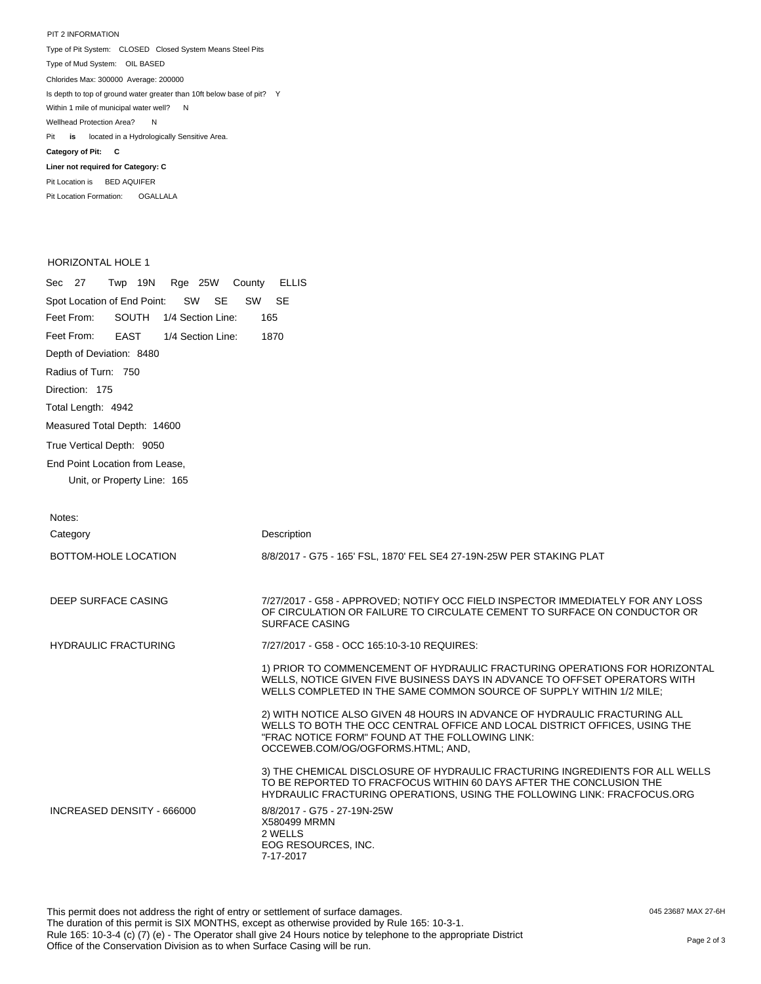PIT 2 INFORMATION Type of Pit System: CLOSED Closed System Means Steel Pits Type of Mud System: OIL BASED Pit **is** located in a Hydrologically Sensitive Area. **Category of Pit: C Liner not required for Category: C** Pit Location is BED AQUIFER Chlorides Max: 300000 Average: 200000 Is depth to top of ground water greater than 10ft below base of pit? Y Within 1 mile of municipal water well? N Wellhead Protection Area? N

## HORIZONTAL HOLE 1

Pit Location Formation: OGALLALA

Sec 27 Twp 19N Rge 25W County ELLIS Spot Location of End Point: SW SE SW SE Feet From: Feet From: Depth of Deviation: 8480 Radius of Turn: 750 Direction: 175 Total Length: 4942 Measured Total Depth: 14600 True Vertical Depth: 9050 End Point Location from Lease, Unit, or Property Line: 165 SOUTH 1/4 Section Line: 165 EAST 1/4 Section Line: 1870

| Notes:                      |                                                                                                                                                                                                                                                 |
|-----------------------------|-------------------------------------------------------------------------------------------------------------------------------------------------------------------------------------------------------------------------------------------------|
| Category                    | Description                                                                                                                                                                                                                                     |
| BOTTOM-HOLE LOCATION        | 8/8/2017 - G75 - 165' FSL, 1870' FEL SE4 27-19N-25W PER STAKING PLAT                                                                                                                                                                            |
| DEEP SURFACE CASING         | 7/27/2017 - G58 - APPROVED; NOTIFY OCC FIELD INSPECTOR IMMEDIATELY FOR ANY LOSS<br>OF CIRCULATION OR FAILURE TO CIRCULATE CEMENT TO SURFACE ON CONDUCTOR OR<br><b>SURFACE CASING</b>                                                            |
| <b>HYDRAULIC FRACTURING</b> | 7/27/2017 - G58 - OCC 165:10-3-10 REQUIRES:                                                                                                                                                                                                     |
|                             | 1) PRIOR TO COMMENCEMENT OF HYDRAULIC FRACTURING OPERATIONS FOR HORIZONTAL<br>WELLS, NOTICE GIVEN FIVE BUSINESS DAYS IN ADVANCE TO OFFSET OPERATORS WITH<br>WELLS COMPLETED IN THE SAME COMMON SOURCE OF SUPPLY WITHIN 1/2 MILE:                |
|                             | 2) WITH NOTICE ALSO GIVEN 48 HOURS IN ADVANCE OF HYDRAULIC FRACTURING ALL<br>WELLS TO BOTH THE OCC CENTRAL OFFICE AND LOCAL DISTRICT OFFICES, USING THE<br>"FRAC NOTICE FORM" FOUND AT THE FOLLOWING LINK:<br>OCCEWEB.COM/OG/OGFORMS.HTML; AND, |
|                             | 3) THE CHEMICAL DISCLOSURE OF HYDRAULIC FRACTURING INGREDIENTS FOR ALL WELLS<br>TO BE REPORTED TO FRACFOCUS WITHIN 60 DAYS AFTER THE CONCLUSION THE<br>HYDRAULIC FRACTURING OPERATIONS, USING THE FOLLOWING LINK: FRACFOCUS.ORG                 |
| INCREASED DENSITY - 666000  | 8/8/2017 - G75 - 27-19N-25W<br>X580499 MRMN<br>2 WELLS<br>EOG RESOURCES, INC.<br>7-17-2017                                                                                                                                                      |

This permit does not address the right of entry or settlement of surface damages. The duration of this permit is SIX MONTHS, except as otherwise provided by Rule 165: 10-3-1. Rule 165: 10-3-4 (c) (7) (e) - The Operator shall give 24 Hours notice by telephone to the appropriate District Nue 100. 10-3-4 (C) (T) (e) - The Operator Shall give 24 Hours holde by telephone to the appropriate District<br>Office of the Conservation Division as to when Surface Casing will be run.

045 23687 MAX 27-6H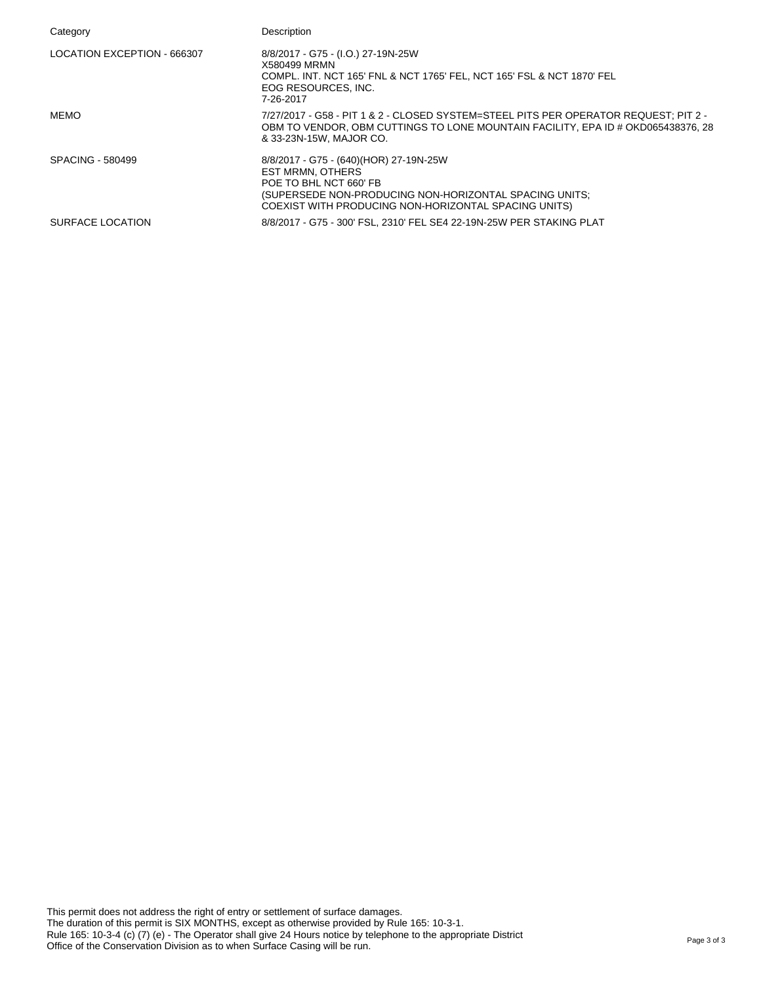| Category                    | Description                                                                                                                                                                                                   |
|-----------------------------|---------------------------------------------------------------------------------------------------------------------------------------------------------------------------------------------------------------|
| LOCATION EXCEPTION - 666307 | 8/8/2017 - G75 - (I.O.) 27-19N-25W<br>X580499 MRMN<br>COMPL. INT. NCT 165' FNL & NCT 1765' FEL, NCT 165' FSL & NCT 1870' FEL<br>EOG RESOURCES, INC.<br>7-26-2017                                              |
| MEMO                        | 7/27/2017 - G58 - PIT 1 & 2 - CLOSED SYSTEM=STEEL PITS PER OPERATOR REQUEST; PIT 2 -<br>OBM TO VENDOR, OBM CUTTINGS TO LONE MOUNTAIN FACILITY, EPA ID # OKD065438376, 28<br>& 33-23N-15W. MAJOR CO.           |
| <b>SPACING - 580499</b>     | 8/8/2017 - G75 - (640)(HOR) 27-19N-25W<br><b>EST MRMN, OTHERS</b><br>POE TO BHL NCT 660' FB<br>(SUPERSEDE NON-PRODUCING NON-HORIZONTAL SPACING UNITS;<br>COEXIST WITH PRODUCING NON-HORIZONTAL SPACING UNITS) |
| SURFACE LOCATION            | 8/8/2017 - G75 - 300' FSL, 2310' FEL SE4 22-19N-25W PER STAKING PLAT                                                                                                                                          |